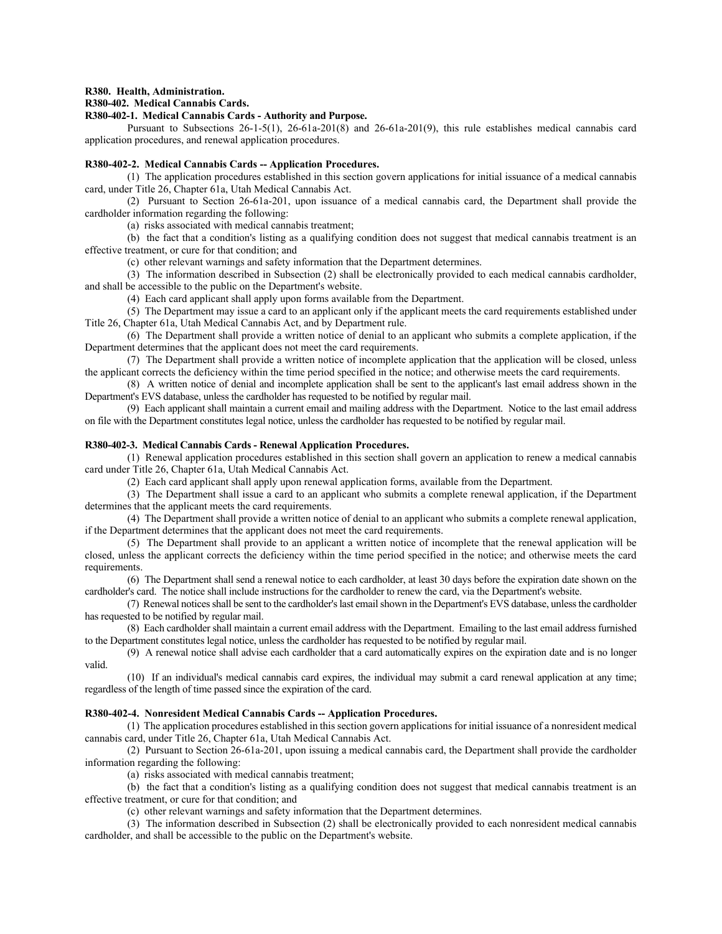#### **R380. Health, Administration.**

## **R380-402. Medical Cannabis Cards.**

## **R380-402-1. Medical Cannabis Cards - Authority and Purpose.**

Pursuant to Subsections 26-1-5(1), 26-61a-201(8) and 26-61a-201(9), this rule establishes medical cannabis card application procedures, and renewal application procedures.

#### **R380-402-2. Medical Cannabis Cards -- Application Procedures.**

(1) The application procedures established in this section govern applications for initial issuance of a medical cannabis card, under Title 26, Chapter 61a, Utah Medical Cannabis Act.

(2) Pursuant to Section 26-61a-201, upon issuance of a medical cannabis card, the Department shall provide the cardholder information regarding the following:

(a) risks associated with medical cannabis treatment;

(b) the fact that a condition's listing as a qualifying condition does not suggest that medical cannabis treatment is an effective treatment, or cure for that condition; and

(c) other relevant warnings and safety information that the Department determines.

(3) The information described in Subsection (2) shall be electronically provided to each medical cannabis cardholder, and shall be accessible to the public on the Department's website.

(4) Each card applicant shall apply upon forms available from the Department.

(5) The Department may issue a card to an applicant only if the applicant meets the card requirements established under Title 26, Chapter 61a, Utah Medical Cannabis Act, and by Department rule.

(6) The Department shall provide a written notice of denial to an applicant who submits a complete application, if the Department determines that the applicant does not meet the card requirements.

(7) The Department shall provide a written notice of incomplete application that the application will be closed, unless the applicant corrects the deficiency within the time period specified in the notice; and otherwise meets the card requirements.

(8) A written notice of denial and incomplete application shall be sent to the applicant's last email address shown in the Department's EVS database, unless the cardholder has requested to be notified by regular mail.

(9) Each applicant shall maintain a current email and mailing address with the Department. Notice to the last email address on file with the Department constitutes legal notice, unless the cardholder has requested to be notified by regular mail.

#### **R380-402-3. Medical Cannabis Cards - Renewal Application Procedures.**

(1) Renewal application procedures established in this section shall govern an application to renew a medical cannabis card under Title 26, Chapter 61a, Utah Medical Cannabis Act.

(2) Each card applicant shall apply upon renewal application forms, available from the Department.

(3) The Department shall issue a card to an applicant who submits a complete renewal application, if the Department determines that the applicant meets the card requirements.

(4) The Department shall provide a written notice of denial to an applicant who submits a complete renewal application, if the Department determines that the applicant does not meet the card requirements.

(5) The Department shall provide to an applicant a written notice of incomplete that the renewal application will be closed, unless the applicant corrects the deficiency within the time period specified in the notice; and otherwise meets the card requirements.

(6) The Department shall send a renewal notice to each cardholder, at least 30 days before the expiration date shown on the cardholder's card. The notice shall include instructions for the cardholder to renew the card, via the Department's website.

(7) Renewal notices shall be sent to the cardholder's last email shown in the Department's EVS database, unless the cardholder has requested to be notified by regular mail.

(8) Each cardholder shall maintain a current email address with the Department. Emailing to the last email address furnished to the Department constitutes legal notice, unless the cardholder has requested to be notified by regular mail.

(9) A renewal notice shall advise each cardholder that a card automatically expires on the expiration date and is no longer valid.

(10) If an individual's medical cannabis card expires, the individual may submit a card renewal application at any time; regardless of the length of time passed since the expiration of the card.

### **R380-402-4. Nonresident Medical Cannabis Cards -- Application Procedures.**

(1) The application procedures established in this section govern applications for initial issuance of a nonresident medical cannabis card, under Title 26, Chapter 61a, Utah Medical Cannabis Act.

(2) Pursuant to Section 26-61a-201, upon issuing a medical cannabis card, the Department shall provide the cardholder information regarding the following:

(a) risks associated with medical cannabis treatment;

(b) the fact that a condition's listing as a qualifying condition does not suggest that medical cannabis treatment is an effective treatment, or cure for that condition; and

(c) other relevant warnings and safety information that the Department determines.

(3) The information described in Subsection (2) shall be electronically provided to each nonresident medical cannabis cardholder, and shall be accessible to the public on the Department's website.